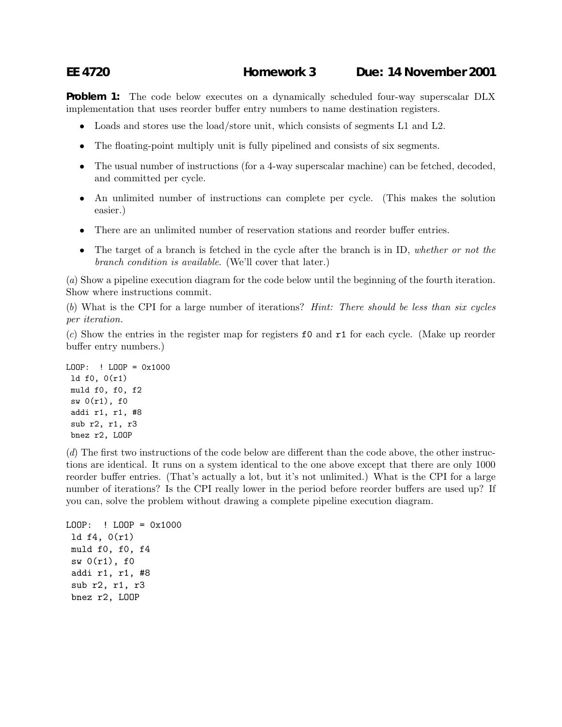## **EE 4720 Homework 3 Due: 14 November 2001**

**Problem 1:** The code below executes on a dynamically scheduled four-way superscalar DLX implementation that uses reorder buffer entry numbers to name destination registers.

- Loads and stores use the load/store unit, which consists of segments L1 and L2.
- The floating-point multiply unit is fully pipelined and consists of six segments.
- The usual number of instructions (for a 4-way superscalar machine) can be fetched, decoded, and committed per cycle.
- An unlimited number of instructions can complete per cycle. (This makes the solution easier.)
- There are an unlimited number of reservation stations and reorder buffer entries.
- The target of a branch is fetched in the cycle after the branch is in ID, *whether or not the branch condition is available*. (We'll cover that later.)

(*a*) Show a pipeline execution diagram for the code below until the beginning of the fourth iteration. Show where instructions commit.

(*b*) What is the CPI for a large number of iterations? *Hint: There should be less than six cycles per iteration.*

(*c*) Show the entries in the register map for registers f0 and r1 for each cycle. (Make up reorder buffer entry numbers.)

```
LOOP: ! LOOP = 0x1000ld f0, 0(r1)
muld f0, f0, f2
 sw 0(r1), f0
 addi r1, r1, #8
sub r2, r1, r3
bnez r2, LOOP
```
(*d*) The first two instructions of the code below are different than the code above, the other instructions are identical. It runs on a system identical to the one above except that there are only 1000 reorder buffer entries. (That's actually a lot, but it's not unlimited.) What is the CPI for a large number of iterations? Is the CPI really lower in the period before reorder buffers are used up? If you can, solve the problem without drawing a complete pipeline execution diagram.

```
LOOP: ! LOOP = 0x1000
 ld f4, 0(r1)
muld f0, f0, f4
 sw 0(r1), fo
 addi r1, r1, #8
 sub r2, r1, r3
 bnez r2, LOOP
```